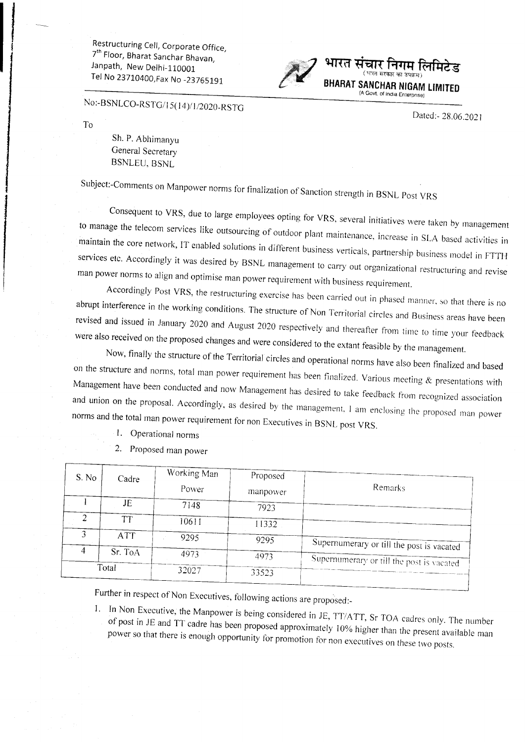Restructuring Cell, Corporate Office, 7<sup>th</sup> Floor, Bharat Sanchar Bhavan, Janpath, New Delhi-110001 Tel No 23710400, Fax No -23765191



No:-BSNLCO-RSTG/15(14)/1/2020-RSTG

To

Sh. P. Abhimanyu General Secretary BSNLEU. BSNL

Subject:-Comments on Manpower norms for finalization of Sanction strength in BSNL Post VRS

Consequent to VRS, due to large employees opting for VRS, several initiatives were taken by management to manage the telecom services like outsourcing of outdoor plant maintenance, increase in SLA based activities in maintain the core network, IT enabled solutions in different business verticals, partnership business model in FTTH services etc. Accordingly it was desired by BSNL management to carry out organizational restructuring and man power norms to align and optimise man power requirement with business requirement.

Accordingly Post VRS, the restructuring exercise has been carried out in phased manner, so that there is no abrupt interference in the working conditions. The structure of N<sub>2</sub> T<sub>1</sub> is the state of the structure of N<sub>2</sub> T<sub>1</sub> is the state of N<sub>2</sub> T<sub>1</sub> is the state of N<sub>2</sub> T<sub>1</sub> is the state of N<sub>2</sub> T<sub>1</sub> is the state of N<sub>2</sub> T<sub>1</sub> i revised Interference in the working conditions. The structure of Non Territorial circles and Business areas have been<br>and issued in January 2020 and August 2020 respectively and thereafter from time to time your footheat were also received on the proposed changes and were considered to the extant feasible by the management.

on Now, finally the structure of the Territorial circles and operational norms have also been finalized and based<br>on the structure and norms, total man power requirement has been finalized. Various meeting & presentations wit and Management have been conducted and now Management has desired to take feedback from recognized association<br>and union on the proposal. Accordingly, as desired by the management, 1 am enclosing the proposed man power<br>norms a

2. proposed man power

| S. No. | Cadre   | Working Man | Proposed |                                           |
|--------|---------|-------------|----------|-------------------------------------------|
|        |         | Power       | manpower | Remarks                                   |
|        | JE.     | 7148        | 7923     |                                           |
|        | TT      | 10611       | 11332    |                                           |
|        | ATT.    | 9295        | 9295     |                                           |
|        | Sr. ToA | 4973        | 4973     | Supernumerary or till the post is vacated |
|        | Total   | 32027       | 33523    | Supernumerary or till the post is vacated |
|        |         |             |          |                                           |

Further in respect of Non Executives, following actions are proposed:-

1. In Non Executive, the Manpower is being considered in JE, TT/ATT, Sr TOA cadres only. The number of post in JE and TT cadre has been proposed approximately 10% higher than the present available man power so that there is enough opportunity for promotion for non executives on these two posts.

Dated: - 28.06.2021

I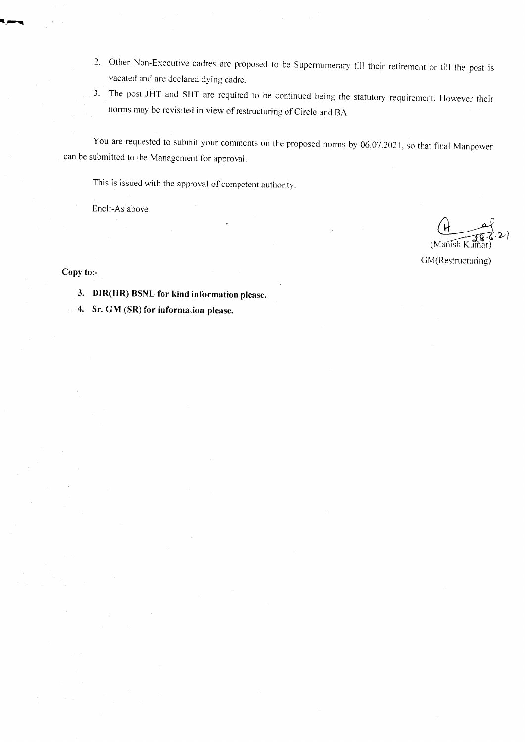- 2. Other Non-Executive cadres are proposed to be Supernumerary till their retirement or till the post is vacated and are declared dying cadre.
- 3. The post JHT and SHT are required to be continued being the statutory requirement. However their norms may be revisited in view of restructuring of Circle and BA

You are requested to submit your comments on the proposed norms by 06.07.2021, so that final Manpower can be submitted to the Management for approval.

This is issued with the approval of competent authority.

Encl:-As above

Copy to:-

f--1

 $(M$ anish GM(Restructuring)

3. DIR(HR) BSNL for kind information please.

4, Sr. GM (SR) for information please.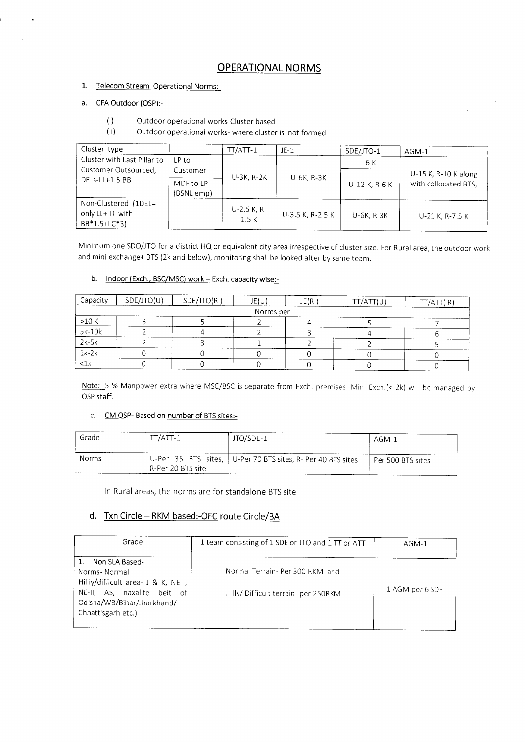# OPERATIONAL NORMS

- 1. Telecom Stream Operational Norms:-
- a. CFA Outdoor (OSP):-

I

- (i) Outdoor operational works-Cluster based
- (ii) Outdoor operational works- where cluster is not formed

| Cluster type                                             |                         | $TT/ATT-1$            | $JE-1$              | SDE/JTO-1     | AGM-1                |
|----------------------------------------------------------|-------------------------|-----------------------|---------------------|---------------|----------------------|
| Cluster with Last Pillar to                              | $LP$ to                 |                       |                     | 6 K           |                      |
| Customer Outsourced.                                     | Customer                | U-3K, R-2K            | U-6K, R-3K          |               | U-15 K, R-10 K along |
| DELs-LL+1.5 BB                                           | MDF to LP<br>(BSNL emp) |                       |                     | U-12 K, R-6 K | with collocated BTS, |
| Non-Clustered (1DEL=<br>only LL+ LL with<br>BB*1.5+LC*3) |                         | $U-2.5 K, R-$<br>1.5K | $U-3.5 K$ , R-2.5 K | $U-6K$ , R-3K | U-21 K, R-7.5 K      |

Minimum one SDO/JTO for a district HQ or equivalent city area irrespective of cluster size. For Rural area, the outdoor work and mini exchange+ BTS (2k and below), monitoring shall be looked after by same team.

## b. Indoor (Exch., BSC/MSC) work - Exch. capacity wise:-

| Capacity  | SDE/JTO(U) | SDE/JTO(R) | JE(U)     | JE(R) | TT/ATT(U) | TT/ATT(R) |
|-----------|------------|------------|-----------|-------|-----------|-----------|
|           |            |            | Norms per |       |           |           |
| >10 K     |            |            |           |       |           |           |
| $5k-10k$  |            |            |           |       |           |           |
| $2k-5k$   |            |            |           |       |           |           |
| $1k-2k$   |            |            |           |       |           |           |
| $<$ 1 $k$ |            |            |           |       |           |           |

Note:- 5 % Manpower extra where MSC/BSC is separate from Exch. premises. Mini Exch.(< 2k) will be managed by OSP staff.

### c. CM OSP- Based on number of BTS sites:-

| Grade | $TT/ATT-1$        | JTO/SDE-1                                                     | AGM-1             |
|-------|-------------------|---------------------------------------------------------------|-------------------|
| Norms | R-Per 20 BTS site | U-Per 35 BTS sites,   U-Per 70 BTS sites, R- Per 40 BTS sites | Per 500 BTS sites |

In Rural areas, the norms are for standalone BTS site

# d. Txn Circle - RKM based:-OFC route Circle/BA

| Grade                                                                                                                                                    | 1 team consisting of 1 SDE or JTO and 1 TT or ATT                       | AGM-1           |
|----------------------------------------------------------------------------------------------------------------------------------------------------------|-------------------------------------------------------------------------|-----------------|
| Non SLA Based-<br>Norms-Normal<br>Hilliy/difficult area- J & K, NE-I,<br>NE-II, AS, naxalite belt of<br>Odisha/WB/Bihar/Jharkhand/<br>Chhattisgarh etc.) | Normal Terrain- Per 300 RKM and<br>Hilly/ Difficult terrain- per 250RKM | 1 AGM per 6 SDE |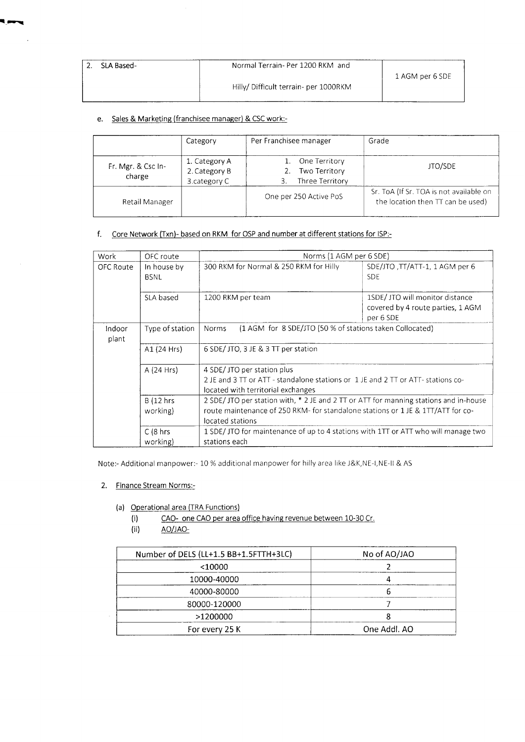| SLA Based- | Normal Terrain-Per 1200 RKM and      |                 |
|------------|--------------------------------------|-----------------|
|            |                                      | 1 AGM per 6 SDE |
|            | Hilly/Difficult terrain- per 1000RKM |                 |
|            |                                      |                 |

### e. Sales & Marketing (franchisee manager) & CSC work:-

f-1

|                              | Category                                       | Per Franchisee manager                            | Grade                                                                        |
|------------------------------|------------------------------------------------|---------------------------------------------------|------------------------------------------------------------------------------|
| Fr. Mgr. & Csc In-<br>charge | 1. Category A<br>2. Category B<br>3.category C | One Territory<br>Two Territory<br>Three Territory | <b>JTO/SDE</b>                                                               |
| Retail Manager               |                                                | One per 250 Active PoS                            | Sr. ToA (If Sr. TOA is not available on<br>the location then TT can be used) |

## f. Core Network (Txn)- based on RKM for OSP and number at different stations for ISP:-

| Work            | OFC route                    | Norms (1 AGM per 6 SDE)                                                                                                                                                                       |                                                                                   |  |
|-----------------|------------------------------|-----------------------------------------------------------------------------------------------------------------------------------------------------------------------------------------------|-----------------------------------------------------------------------------------|--|
| OFC Route       | In house by<br><b>BSNL</b>   | 300 RKM for Normal & 250 RKM for Hilly                                                                                                                                                        | SDE/JTO, TT/ATT-1, 1 AGM per 6<br><b>SDE</b>                                      |  |
|                 | SLA based                    | 1200 RKM per team                                                                                                                                                                             | 1SDE/ JTO will monitor distance<br>covered by 4 route parties, 1 AGM<br>per 6 SDE |  |
| Indoor<br>plant | Type of station              | (1 AGM for 8 SDE/JTO (50 % of stations taken Collocated)<br>Norms                                                                                                                             |                                                                                   |  |
|                 | A1 (24 Hrs)                  | 6 SDE/ JTO, 3 JE & 3 TT per station                                                                                                                                                           |                                                                                   |  |
|                 | A (24 Hrs)                   | 4 SDE/JTO per station plus<br>2 JE and 3 TT or ATT - standalone stations or 1 JE and 2 TT or ATT- stations co-<br>located with territorial exchanges                                          |                                                                                   |  |
|                 | <b>B</b> (12 hrs<br>working) | 2 SDE/JTO per station with, $*$ 2 JE and 2 TT or ATT for manning stations and in-house<br>route maintenance of 250 RKM- for standalone stations or 1 JE & 1TT/ATT for co-<br>located stations |                                                                                   |  |
|                 | $C(8)$ hrs<br>working)       | 1 SDE/JTO for maintenance of up to 4 stations with 1TT or ATT who will manage two<br>stations each                                                                                            |                                                                                   |  |

Note:- Additional manpower:- 10 % additional manpower for hilly area like J&K, NE-I, NE-II & AS

### 2. Finance Stream Norms:-

 $\bar{z}$ 

## (a) Operational area (TRA Functions)

- (i) CAO- one CAO per area office having revenue between 10-30 Cr.
- (ii) Ao/JAo-

| Number of DELS (LL+1.5 BB+1.5FTTH+3LC) | No of AO/JAO |
|----------------------------------------|--------------|
| $<$ 10000                              |              |
| 10000-40000                            |              |
| 40000-80000                            |              |
| 80000-120000                           |              |
| >1200000                               |              |
| For every 25 K                         | One Addl. AO |